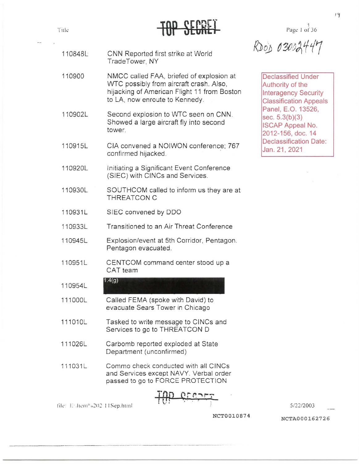#### 1 Ti1k Pagl'. l of 36

RDOD 03002447

Declassified Under Authority of the lnteragency Security Classification Appeals Panel, E.O. 13526, sec. 5.3(b)(3) ISCAP Appeal No. 2012-156, doc. 14 Declassification Date: Jan.21,2021

- 110848L CNN Reported first strike at World TradeTower, NY
- 110900 NMCC called FM, briefed of explosion at \NTC possibly from aircraft crash. Also, hijacking of American Flight 11 from Boston to LA, now enroute to Kennedy.
- 110902L Second explosion to WTC seen on CNN. Showed a large aircraft fly into second tower.
- 110915L CIA convened a NOIWON conference; 767 confirmed hijacked.
- 110920L Initiating a Significant Event Conference (SIEC) with CINCs and Services .
- 110930L SOUTHCOM called to inform us they are at THREATCON C
- 110931L SIEC convened by DDO

 $1.4(g)$ 

110933L Transitioned to an Air Threat Conference

- 110945L Explosion/event at 5th Corridor, Pentagon. Pentagon evacuated.
- 110951L CENTCOM command center stood up a CAT team
- 110954L
- 111000L Called FEMA (spoke with David) to evacuate Sears Tower in Chicago
- 111010L Tasked to write message to CINCs and Services to go to THREATCON D
- 111026L Carbomb reported exploded at State Department (unconfirmed)
- 111031L Comma check conducted with all CINCs and Services except NAVY. Verbal order passed to go to FORCE PROTECTION

*TOP* 

file: Enfrem<sup>n</sup> a202 11Sep.html

512212003

NCTA0001627 26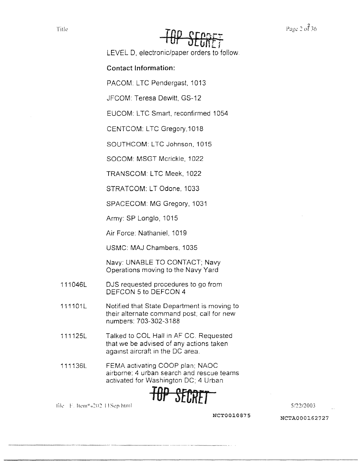# *TeP SECRff*

LEVEL D, electronic/paper orders to follow

#### **Contact Information:**

PACOM: LTC Pendergast, 1013

JFCOM: Teresa Dewitt, GS-12

EUCOM: LTC Smart, reconfirmed 1054

CENTCOM: LTC Gregory,1018

SOUTHCOM: LTC Johnson, 1015

SOCOM: MSGT Mcrickle, 1022

TRANSCOM: LTC Meek, 1022

STRATCOM: LT Odone, 1033

SPACECOM: MG Gregory, 1031

Army: SP Longlo, 1015

Air Force: Nathaniel, 1019

USMC: MAJ Chambers, 1035

Navy: UNABLE TO CONTACT; Navy Operations moving to the Navy Yard

- 111046L DJS requested procedures to go from DEFCON 5 to DEFCON 4
- 111101L Notified that State Department is moving to their alternate command post; call for new numbers: 703-302-3188
- 111125L Talked to COL Hall in AF CC. Requested that we be advised of any actions taken against aircraft in the DC area.
- 111136L FEMA activating COOP plan; NAOC airborne: 4 urban search and rescue teams activated for Washington DC; 4 Urban



-------------------···-----------

lik E. ltem<sup>a</sup> <sub>6</sub>202 11 Sep html **6.122/2003** *S/22/2003*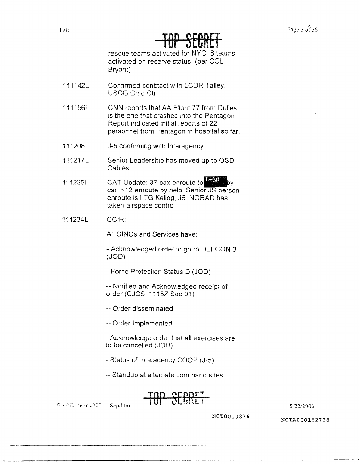#### Title Page 3 of 36 TUT JECNET

rescue teams activated for NYC; 8 teams activated on reserve status. (per COL Bryant)

- 111142L Confirmed conbtact with LCDR Talley, USCG Cmd Ctr
- 111156L CNN reports that AA Flight 77 from Dulles is the one that crashed into the Pentagon. Report indicated initial reports of 22 personnel from Pentagon in hospital so far.
- 111208L J-5 confirming with lnteragency
- 111217L Senior Leadership has moved up to OSD Cables
- 111225L CAT Update: 37 pax enroute to you by  $car.$  ~12 enroute by helo. Senior JS person enroute is LTG Kellog, J6. NORAD has 14(0<br>r JS<br>AD I taken airspace control.
- 111234L CCIR:

All CINCs and Services have:

- Acknowledged order to go to DEFCON 3 (JOO)

- Force Protection Status D (JOO)

-- Notified and Acknowledged receipt of order (CJCS, 1115Z Sep 01)

- -- Order disseminated
- -- Order Implemented
- Acknowledge order that all exercises are to be cancelled (JOO)
- Status of lnteragency COOP (J-5)

-- Standup at alternate command sites



 $\text{file:}\text{/H:\text{then0}}\text{u:}202\text{,}11\text{Sep.html}$  TOP SECRES SECRETING S/22/2003

**NCT0010876** NCTA000162728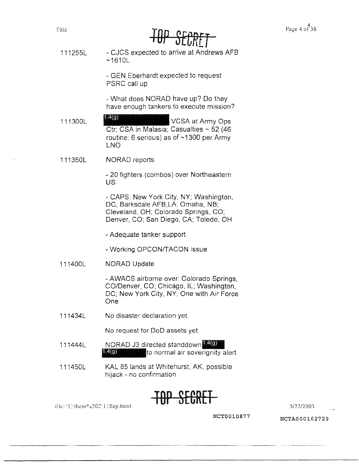| <u>VNL</u> |
|------------|

111255L - CJCS expected to arrive at Andrews AFB ~1610L

> - GEN Eberhardt expected to request PSRC call up

- What does NORAD have up? Do they have enough tankers to execute mission?

111300L 1.4(g) VCSA at Army Ops  $Ctr$ ; CSA in Malasia; Casualties ~ 52 (46) routine: 6 serious) as of ~1300 per Army LNO

111350L NORAD reports

> - 20 fighters (combos) over Northeastern us

- CAPS: New York City, NY; Washington, DC; Barksdale AFB.LA: Omaha, NB; Cleveland, OH; Colorado Springs, CO; Denver, CO; San Diego, CA; Toledo, OH

- Adequate tanker support
- Working OPCON/TACON issue
- 111400L NORAD Update

- AWACS airborne over: Colorado Springs, CO/Denver, CO; Chicago, IL; Washington, DC; New York City, NY; One with Air Force One

111434L No disaster declaration yet.

No request for DoD assets yet

- 111444L NORAD J3 directed standdown **14(9)** 1.4(g) to normal air soverignity alert
- 111450L KAL 85 lands at Whitehurst; AK, possible hijack - no confirmation



lik:"E:\J1c111°u202" I !Sep.html 5/22/2003

**NCT0010877 NCTA000162729**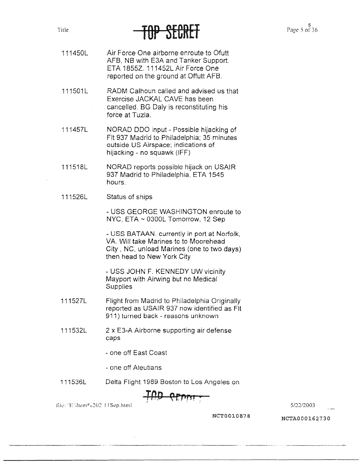#### **Title**

## TAL OTNUME

- 111450L Air Force One airborne enroute to Ofutt AFB, NB with E3A and Tanker Support. ETA 1855Z. 111452L Air Force One reported on the ground at Offutt AFB.
- 111501L RADM Calhoun called and advised us that Exercise JACKAL CAVE has been cancelled. BG Daly is reconstituting his force at Tuzla.
- 111457L NORAD ODO input - Possible hijacking of Flt 937 Madrid to Philadelphia; 35 minutes outside US Airspace; indications of hijacking - no squawk (IFF)
- 111518L NORAD reports possible hijack on USAIR 937 Madrid to Philadelphia, ETA 1545 hours.
- 111526L Status of ships

- USS GEORGE WASHINGTON enroute to NYC, ETA ~ 0300L Tomorrow, 12 Sep

- USS BATAAN. currently in port at Norfolk, VA. Will take Marines to to Moorehead City, NC, unload Marines (one to two days) then head to New York City

- USS JOHN F. KENNEDY UW vicinity Mayport with Airwing but no Medical **Supplies** 

- 111527L Flight from Madrid to Philadelphia Originally reported as USAIR 937 now identified as Flt 911) turned back - reasons unknown
- 111532L 2 x E3-A Airborne supporting air defense caps
	- one off East Coast
	- one off Aleutians
- 111536L Delta Flight 1989 Boston to Los Angeles on

Jik: "'E:'.l1~111° c::o:: I I S~p.html 512212003

**NCT0010878** NCTA000162730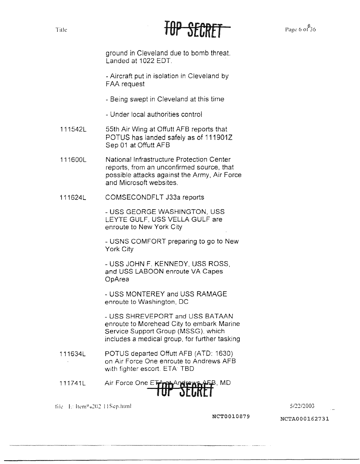



ground in Cleveland due to bomb threat. Landed at 1022 EDT.

- Aircraft put in isolation in Cleveland by FAA request

- Being swept in Cleveland at this time
- Under local authorities control
- 111542L 55th Air Wing at Offutt AFB reports that POTUS has landed safely as of 1119012 Sep 01 at Offutt AFB
- 111600L National Infrastructure Protection Center reports, from an unconfirmed source, that possible attacks against the Army, Air Force and Microsoft websites.
- 111624L COMSECONDFLT J33a reports

- USS GEORGE WASHINGTON, USS LEYTE GULF, USS VELLA GULF are enroute to New York City

- USNS COMFORT preparing to go to New York City

- USS JOHN F. KENNEDY. USS ROSS, and USS LABOON enroute VA Capes OpArea

- USS MONTEREY and USS RAMAGE enroute to Washington, DC

- USS SHREVEPORT and USS BATAAN enroute to Morehead City to embark Marine Service Support Group (MSSG), which includes a medical group. for further tasking

- 111634L POTUS departed Offutt AFB (ATD: 1630) on Air Force One enroute to Andrews AFB with fighter escort. ETA: TBD
- 111741L Air Force One **ETlJff!ECRf***f,* MD

tile- I.: ltem<sup>o</sup> <sub>0</sub>202 11 Sep.html 5/22/2003

**NCT0010879** NCTA000162731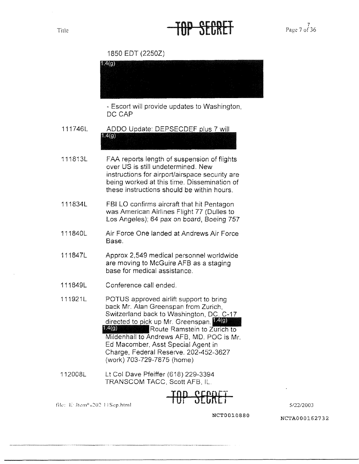#### Tille Page 7 of 36

1850 EDT (22502)



5/22/2003

**NCT0010880**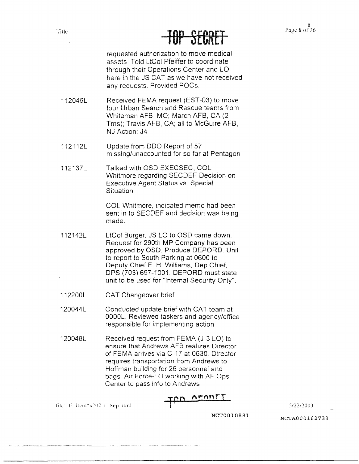## IUT OLUNLI

requested authorization to move medical assets. Told LtCol Pfeiffer to coordinate through their Operations Center and LO here in the JS CAT as we have not received any requests. Provided POCs.

- 112046L Received FEMA request (EST-03) to move four Urban Search and Rescue teams from Whiteman AFB, MO; March AFB, CA (2 Tms): Travis AFB, CA: all to McGuire AFB, NJ Action: J4
- 112112L Update from ODO Report of 57 missing/unaccounted for so far at Pentagon
- 112137L Talked with OSD EXECSEC, COL Whitmore regarding SECDEF Decision on Executive Agent Status vs. Special **Situation**

COL Whitmore, indicated memo had been sent in to SECDEF and decision was being made.

- 112142L LtCol Burger, JS LO to OSD came down. Request for 290th MP Company has been approved by OSD. Produce DEPORD. Unit to report to South Parking at 0600 to Deputy Chief E. H. Williams. Dep Chief, DPS (703) 697-1001. DEPORD must state unit to be used for "Internal Security Only".
- 112200L CAT Changeover brief

120044L Conducted update brief with CAT team at 0000L. Reviewed taskers and agency/office responsible for implementing action

120048L Received request from FEMA (J-3 LO) to ensure that Andrews AFB realizes Director of FEMA arrives via C-17 at 0630. Director requires transportation from Andrews to Hoffman building for 26 personnel and bags. Air Force-LO working with AF Ops Center to pass info to Andrews

OFORET

file: *F* Item<sup>a</sup> 6202 11Sep html

*5!2212003* 

**NCT0010881**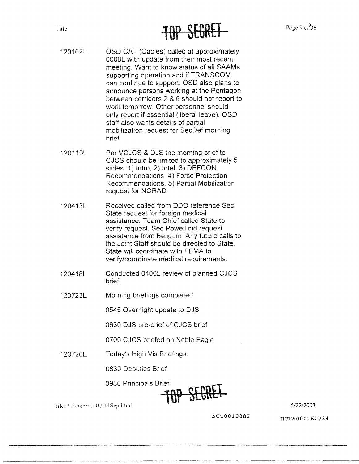## Title **TUP SECRET**

- 120102L OSD CAT (Cables) called at approximately OOOOL with update from their most recent meeting. Want to know status of all SAAMs supporting operation and if TRANSCOM can continue to support. OSD also plans to announce persons working at the Pentagon between corridors 2 & 6 should not report to work tomorrow. Other personnel should only report if essential (liberal leave). OSD staff also wants details of partial mobilization request for SecDef morning brief.
- 120110L Per VCJCS & DJS the morning brief'to CJCS should be limited to approximately 5 slides. 1) Intro, 2) Intel, 3) DEFCON Recommendations, 4) Force Protection Recommendations, 5) Partial Mobilization request for NORAD
- 120413L Received called from ODO reference Sec State request for foreign medical assistance. Team Chief called State to verify request. Sec Powell did request assistance from Beligum. Any future calls to the Joint Staff should be directed to State. State will coordinate with FEMA to verify/coordinate medical requirements.
- 120418L Conducted 0400L review of planned CJCS brief.
- 120723L Morning briefings completed

0545 Overnight update to DJS

0630 DJS pre-brief of CJCS brief

0700 CJCS briefed on Noble Eagle

120726L Today's High Vis Briefings

0830 Deputies Brief

0930 Principals Brief **l**

![](_page_8_Picture_13.jpeg)

Ii!.... 'l ... ltcm 0 u202.I !Sep.html 5/22/2003

**NCT0010882** NCTA000162734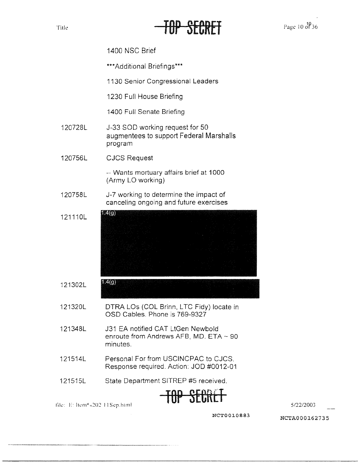#### HP SEP.R

Page 10 01 36

1400 NSC Brief

\*\*\*Additional Briefings\*\*\*

1130 Senior Congressional Leaders

1230 Full House Briefing

1400 Full Senate Briefing

- 120728L J-33 SOD working request for 50 augmentees to support Federal Marshalls program
- 120756L CJCS Request

-- Wants mortuary affairs brief at 1000 (Army LO working)

- 120758L J-7 working to determine the impact of canceling ongoing and future exercises
- $1.4(9)$ 121110L
- 121302L 1.4(g)
- 121320L DTRA LOs (COL Brinn, LTC Fidy) locate in OSD Cables. Phone is 769-9327
- 121348L J31 EA notified CAT LtGen Newbold enroute from Andrews AFB, MD. ETA  $\sim$  90 minutes.
- 121514L Personal For from USCINCPAC to CJCS. Response required. Action: JOO #0012-01
- 121515L State Department SITREP #5 received.

TBP SE&R£T

5/22/2003

file: E: Item<sup>o</sup> a202 11Sep.html

**NCT0010883 NCTA000162735**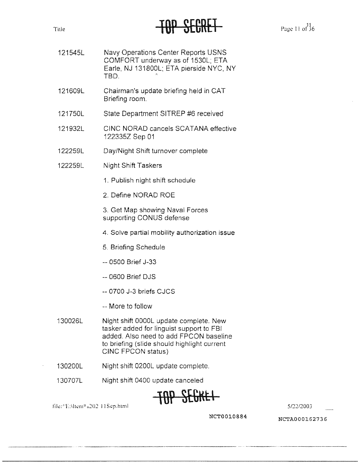#### Title Page I l or 36 l0P SECRET

- 121545L Navy Operations Center Reports USNS COMFORT underway as of 1530L; ETA Earle, NJ 131800L; ETA pierside NYC, **NY**  TBD. -
- 121609L Chairman's update briefing held in CAT Briefing room.
- 121750L State Department SITREP #6 received
- 121932L CINC NORAD cancels SCATANA effective 1223352 Sep 01
- 122259L Day/Night Shift turnover complete
- 122259L Night Shift Taskers
	- 1. Publish night shift schedule
	- 2. Define NORAD ROE

3. Get Map showing Naval Forces supporting CONUS defense

- 4. Solve partial mobility authorization issue
- 5. Briefing Schedule
- -- 0500 Brief J-33
- -- 0600 Brief DJS
- -- 0700 J-3 briefs CJCS
- -- More to follow
- 130026L Night shift 0000L update complete. New tasker added for linguist support to FBI added. Also need to add FPCON baseline to briefing (slide should highlight current CINC FPCON status)
- 130200L Night shift 0200L update complete.
	- 130707L Night shift 0400 update canceled

![](_page_10_Picture_21.jpeg)

file: ''E:\ltem<sup>0</sup> <sub>0</sub>202 **11Sep.html 5/22/2003 5/22/2003** 

**NCT0010884 NCTA000162736**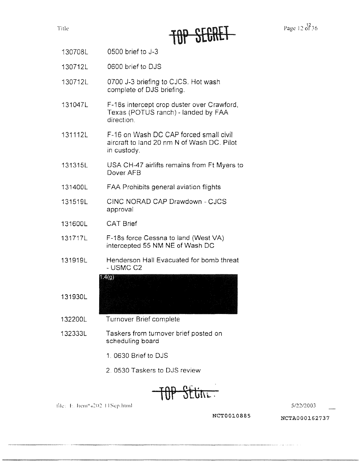Title

![](_page_11_Picture_1.jpeg)

Page 12 of 36

- 130708L 0500 brief to J-3
- 130712L 0600 brief to DJS
- 130712L 0700 J-3 briefing to CJCS. Hot wash complete of DJS briefing.
- 131047L F-18s intercept crop duster over Crawford. Texas (POTUS ranch) - landed by FAA direction.
- 131112L F-16 on Wash DC CAP forced small civil aircraft to land 20 nm N of Wash DC. Pilot in custody.
- 131315L USA CH-47 airlifts remains from Ft Myers to Dover AFB
- 131400L FAA Prohibits general aviation flights
- 131519L CINC NORAD CAP Drawdown - CJCS approval
- 131600L CAT Brief

131930L

- 131717L F-18s force Cessna to land (West VA) intercepted 55 NM NE of Wash DC
- 131919L Henderson Hall Evacuated for bomb threat - USMC C2

 $1.4(9)$ 

- 132200L Turnover Brief complete
- 132333L Taskers from turnover brief posted on scheduling board
	- 1. 0630 Brief to DJS
	- 2 0530 Taskers to DJS review

Sttin.

file: E. Item"a202 11Sep.html

*5/2212003* 

**NCT0010885** NCTA000162737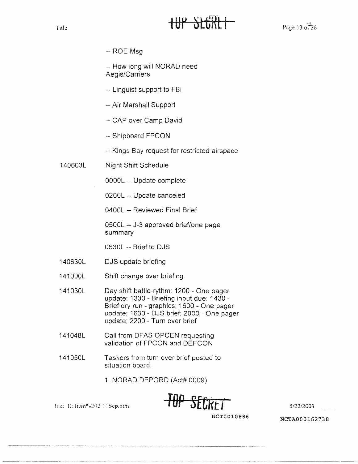#### Title  $\mathbf{H} \mathbf{H} \mathbf{H}$  by  $\mathbf{H} \mathbf{H}$   $\mathbf{H}$   $\mathbf{H}$   $\mathbf{H}$   $\mathbf{H}$   $\mathbf{H}$   $\mathbf{H}$   $\mathbf{H}$   $\mathbf{H}$   $\mathbf{H}$   $\mathbf{H}$   $\mathbf{H}$   $\mathbf{H}$   $\mathbf{H}$   $\mathbf{H}$   $\mathbf{H}$   $\mathbf{H}$   $\mathbf{H}$   $\mathbf{H}$   $\mathbf{H}$   $\mathbf{$

 $-$  ROE Msg

-- How long will NORAD need Aegis/Carriers

- -- Linguist support to FBI
- -- Air Marshall Support
- -- CAP over Camp David
- -- Shipboard FPCON
- -- Kings Bay request for restricted airspace
- 140603L Night Shift Schedule

OOOOL -- Update complete

0200L -- Update canceled

0400L -- Reviewed Final Brief

0500L -- J-3 approved brief/one page summary

0630L -- Brief to DJS

- 140630L DJS update briefing
- 141000L Shift change over briefing

141030L Day shift battle-rythm: 1200 - One pager update; 1330 - Briefing input due; 1430 - Brief dry run - graphics; 1600 - One pager update; 1630 - DJS brief; 2000 - One pager update; 2200 - Turn over brief

- 141048L Call from DFAS OPCEN requesting validation of FPCON and DEFCON
- 141050L Taskers from turn over brief posted to situation board:
	- 1. NORAD DEPORD (Act# 0009)

![](_page_12_Picture_22.jpeg)

**NCT0010886 NCTA000162738**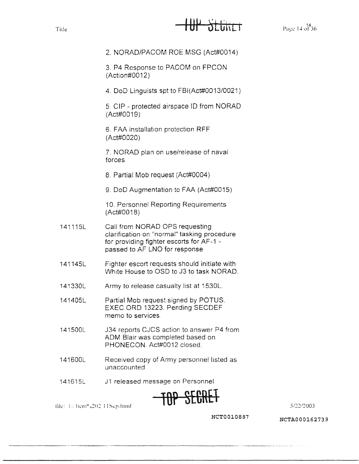#### Title **IUP JEUNET**

2. NORAD/PACOM ROE MSG (Act#0014)

3\_ P4 Response to PACOM on FPCON (Action#0012)

4. DoD Linguists spt to FBl(Act#0013/0021)

5. CIP - protected airspace ID from NORAD (Act#0019)

6. FAA installation protection **RFF**  (Act#0020)

7. NORAD plan on use/release of naval forces

8. Partial Mob request (Act#0004)

9. DoO Augmentation to FAA (Act#0015)

10. Personnel Reporting Requirements (Act#0018)

- 141115L Call from NORAD OPS requesting clarification on "normal" tasking procedure for providing fighter escorts for AF-1 passed to AF LNO for response
- 141145L Fighter escort requests should initiate with White House to OSD to J3 to task NORAD.
- 141330L Army to release casualty list at 1530L.
- 141405L Partial Mob request signed by POTUS. EXEC ORO 13223. Pending SECDEF memo to services
- 141500L J34 reports CJCS action to answer P4 from ADM Blair was completed based on PHONECON. Act#0012 closed\_
- 141600L Received copy of Army personnel listed as unaccounted
- 141615L J1 released message on Personnel

![](_page_13_Picture_19.jpeg)

*5!22!2003* 

file: h: Item@202 11Sep.html

**NCT0010887**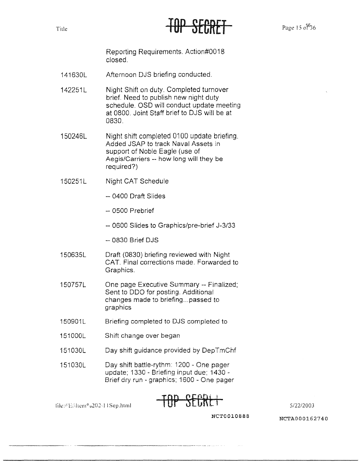### TUI JEUNET Page 15 of 36

Reporting Requirements. Action#0018 closed.

- 141630L Afternoon DJS briefing conducted.
- 142251L Night Shift on duty. Completed turnover brief. Need to publish new night duty schedule. OSD will conduct update meeting at 0800. Joint Staff brief to DJS will be at 0830.
- 150246L Night shift completed 0100 update briefing. Added JSAP to track Naval Assets in support of Noble Eagle (use of Aegis/Carriers -- how long will they be required?)
- 150251L Night CAT Schedule
	- -- 0400 Draft Slides
	- -- 0500 Prebrief
	- -- 0600 Slides to Graphics/pre-brief J-3/33
	- $-0830$  Brief DJS
- 150635L Draft (0830) briefing reviewed with Night CAT. Final corrections made. Forwarded to Graphics.
- 150757L One page Executive Summary -- Finalized; Sent to ODO for posting. Additional changes made to briefing... passed to graphics
- 150901L Briefing completed to DJS completed to
- 151000L Shift change over began
- 151030L Day shift guidance provided by DepTmChf
- 151030L Day shift battle-rythm: 1200 - One pager update: 1330 - Briefing input due; 1430 - Brief dry run - graphics; 1600 - One pager

file:  $\frac{1}{100}$   $\frac{1}{100}$   $\frac{1}{100}$   $\frac{1}{100}$   $\frac{1}{100}$   $\frac{1}{100}$   $\frac{1}{100}$   $\frac{1}{100}$   $\frac{1}{100}$   $\frac{1}{100}$   $\frac{1}{100}$   $\frac{1}{100}$   $\frac{1}{100}$   $\frac{1}{100}$   $\frac{1}{100}$   $\frac{1}{100}$   $\frac{1}{100}$   $\frac{1}{100}$ 

**NCT0010888** NCTA000162740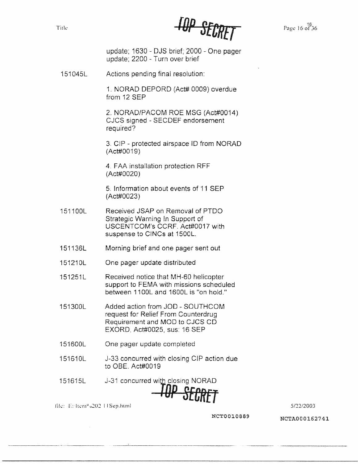Title **Page 16 of 36** *Page 16 of 36 Page 16 of 36* 

update: 1630 - DJS brief; 2000 - One pager update; 2200 - Turn over brief

151045L Actions pending final resolution:

1. NORAD DEPORD (Act# 0009) overdue from 12 SEP

2. NORAD/PACOM ROE MSG (Act#0014) CJCS signed - SECDEF endorsement required?

3. CIP - protected airspace ID from NORAD (Act#0019)

4. FAA installation protection RFF (Act#0020)

5. Information about events of 11 SEP  $(Act#0023)$ 

- 151100L Received JSAP on Removal of PTDO Strategic Warning In Support of USCENTCOM's CCRF. Act#0017 with suspense to CINCs at 1500L.
- 151136L Morning brief and one pager sent out
- 151210L One pager update distributed

151251L Received notice that MH-60 helicopter support to FEMA with missions scheduled between 11 OOL and 1600L is "on hold."

- 151300L Added action from JOO SOUTHCOM request for Relief From Counterdrug Requirement and MOD to CJCS CD EXORD, Act#0025, sus: 16 SEP
- 151600L One pager update completed
- 151610L J-33 concurred with closing CIP action due to OBE. Act#0019
- 151615L J-31 concurred with closing NORAD

**File:** E: ftem<sup>0</sup> u202 11 Sep.html 5/22/2003

NCT0010889 NCTA000162741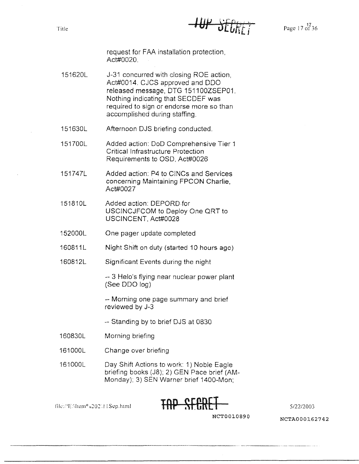Title

**HUP SEGRET** 

Page 17 of 36

request for FAA installation protection, Act#0020.

- 151620L J-31 concurred with closing ROE action, Act#0014. CJCS approved and ODO released message, DTG 1511 00ZSEP01. Nothing indicating that SECDEF was required to sign or endorse more so than accomplished during staffing.
- 151630L Afternoon DJS briefing conducted.
- 151700L Added action: DoD Comprehensive Tier 1 Critical Infrastructure Protection Requirements to OSD, Act#0026
- 151747L Added action: P4 to CINCs and Services concerning Maintaining FPCON Charlie, Act#0027
- 151810L Added action: DEPORD-for USCINCJFCOM to Deploy One ORT to USCINCENT, Act#0028
- 152000L One pager update completed
- 160811L Night Shift on duty (started 10 hours ago)
- 160812L Significant Events during the night

-- 3 Helo's flying near nuclear power plant (See ODO log)

-- Morning one page summary and brief reviewed by J-3

- -- Standing by to brief DJS at 0830
- 16083DL Morning briefing
- 161000L Change over briefing
- 161000L Day Shift Actions to work: 1) Noble Eagle briefing books (J8); 2) GEN Pace brief (AM-Monday); 3) SEN Warner brief 1400-Mon;

![](_page_16_Picture_18.jpeg)

5/22/2003

file://EMtem%20211Sep.html

**NCT0010890**